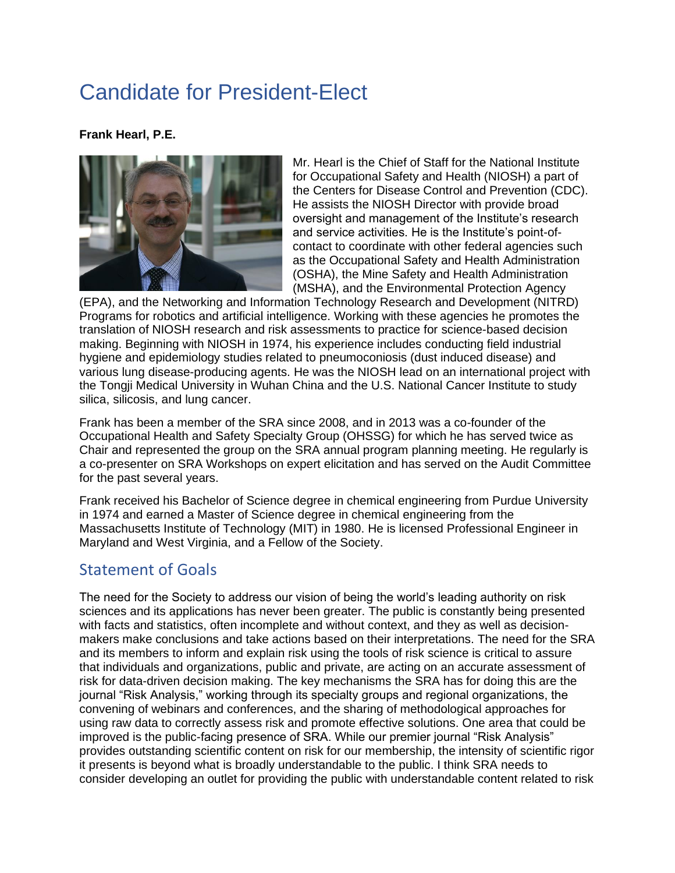## Candidate for President-Elect

## **Frank Hearl, P.E.**



Mr. Hearl is the Chief of Staff for the National Institute for Occupational Safety and Health (NIOSH) a part of the Centers for Disease Control and Prevention (CDC). He assists the NIOSH Director with provide broad oversight and management of the Institute's research and service activities. He is the Institute's point-ofcontact to coordinate with other federal agencies such as the Occupational Safety and Health Administration (OSHA), the Mine Safety and Health Administration (MSHA), and the Environmental Protection Agency

(EPA), and the Networking and Information Technology Research and Development (NITRD) Programs for robotics and artificial intelligence. Working with these agencies he promotes the translation of NIOSH research and risk assessments to practice for science-based decision making. Beginning with NIOSH in 1974, his experience includes conducting field industrial hygiene and epidemiology studies related to pneumoconiosis (dust induced disease) and various lung disease-producing agents. He was the NIOSH lead on an international project with the Tongji Medical University in Wuhan China and the U.S. National Cancer Institute to study silica, silicosis, and lung cancer.

Frank has been a member of the SRA since 2008, and in 2013 was a co-founder of the Occupational Health and Safety Specialty Group (OHSSG) for which he has served twice as Chair and represented the group on the SRA annual program planning meeting. He regularly is a co-presenter on SRA Workshops on expert elicitation and has served on the Audit Committee for the past several years.

Frank received his Bachelor of Science degree in chemical engineering from Purdue University in 1974 and earned a Master of Science degree in chemical engineering from the Massachusetts Institute of Technology (MIT) in 1980. He is licensed Professional Engineer in Maryland and West Virginia, and a Fellow of the Society.

## Statement of Goals

The need for the Society to address our vision of being the world's leading authority on risk sciences and its applications has never been greater. The public is constantly being presented with facts and statistics, often incomplete and without context, and they as well as decisionmakers make conclusions and take actions based on their interpretations. The need for the SRA and its members to inform and explain risk using the tools of risk science is critical to assure that individuals and organizations, public and private, are acting on an accurate assessment of risk for data-driven decision making. The key mechanisms the SRA has for doing this are the journal "Risk Analysis," working through its specialty groups and regional organizations, the convening of webinars and conferences, and the sharing of methodological approaches for using raw data to correctly assess risk and promote effective solutions. One area that could be improved is the public-facing presence of SRA. While our premier journal "Risk Analysis" provides outstanding scientific content on risk for our membership, the intensity of scientific rigor it presents is beyond what is broadly understandable to the public. I think SRA needs to consider developing an outlet for providing the public with understandable content related to risk